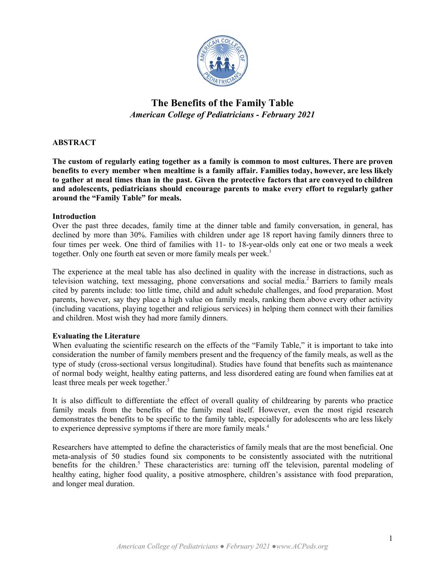

# **The Benefits of the Family Table** *American College of Pediatricians - February 2021*

## **ABSTRACT**

**The custom of regularly eating together as a family is common to most cultures. There are proven benefits to every member when mealtime is a family affair. Families today, however, are less likely** to gather at meal times than in the past. Given the protective factors that are conveyed to children **and adolescents, pediatricians should encourage parents to make every effort to regularly gather around the "Family Table" for meals.**

#### **Introduction**

Over the past three decades, family time at the dinner table and family conversation, in general, has declined by more than 30%. Families with children under age 18 report having family dinners three to four times per week. One third of families with 11- to 18-year-olds only eat one or two meals a week together. Only one fourth eat seven or more family meals per week. 1

The experience at the meal table has also declined in quality with the increase in distractions, such as television watching, text messaging, phone conversations and social media. <sup>2</sup> Barriers to family meals cited by parents include: too little time, child and adult schedule challenges, and food preparation. Most parents, however, say they place a high value on family meals, ranking them above every other activity (including vacations, playing together and religious services) in helping them connect with their families and children. Most wish they had more family dinners.

#### **Evaluating the Literature**

When evaluating the scientific research on the effects of the "Family Table," it is important to take into consideration the number of family members present and the frequency of the family meals, as well as the type of study (cross-sectional versus longitudinal). Studies have found that benefits such as maintenance of normal body weight, healthy eating patterns, and less disordered eating are found when families eat at least three meals per week together. 3

It is also difficult to differentiate the effect of overall quality of childrearing by parents who practice family meals from the benefits of the family meal itself. However, even the most rigid research demonstrates the benefits to be specific to the family table, especially for adolescents who are less likely to experience depressive symptoms if there are more family meals.<sup>4</sup>

Researchers have attempted to define the characteristics of family meals that are the most beneficial. One meta-analysis of 50 studies found six components to be consistently associated with the nutritional benefits for the children.<sup>5</sup> These characteristics are: turning off the television, parental modeling of healthy eating, higher food quality, a positive atmosphere, children's assistance with food preparation, and longer meal duration.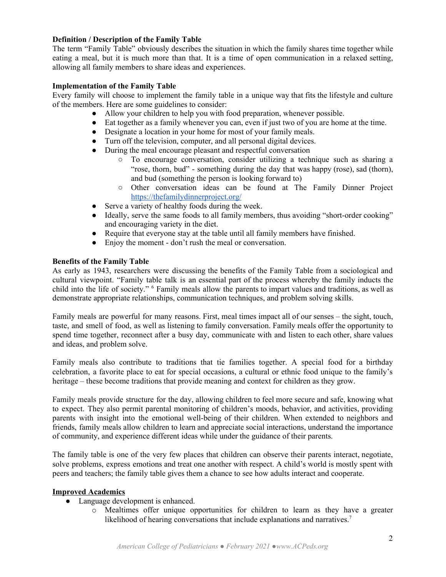## **Definition / Description of the Family Table**

The term "Family Table" obviously describes the situation in which the family shares time together while eating a meal, but it is much more than that. It is a time of open communication in a relaxed setting, allowing all family members to share ideas and experiences.

## **Implementation of the Family Table**

Every family will choose to implement the family table in a unique way that fits the lifestyle and culture of the members. Here are some guidelines to consider:

- Allow your children to help you with food preparation, whenever possible.
- Eat together as a family whenever you can, even if just two of you are home at the time.
- Designate a location in your home for most of your family meals.
- Turn off the television, computer, and all personal digital devices.
- During the meal encourage pleasant and respectful conversation
	- To encourage conversation, consider utilizing a technique such as sharing a "rose, thorn, bud" - something during the day that was happy (rose), sad (thorn), and bud (something the person is looking forward to)
	- Other conversation ideas can be found at The Family Dinner Project <https://thefamilydinnerproject.org/>
- Serve a variety of healthy foods during the week.
- Ideally, serve the same foods to all family members, thus avoiding "short-order cooking" and encouraging variety in the diet.
- Require that everyone stay at the table until all family members have finished.
- Enjoy the moment don't rush the meal or conversation.

#### **Benefits of the Family Table**

As early as 1943, researchers were discussing the benefits of the Family Table from a sociological and cultural viewpoint. "Family table talk is an essential part of the process whereby the family inducts the child into the life of society." <sup>6</sup> Family meals allow the parents to impart values and traditions, as well as demonstrate appropriate relationships, communication techniques, and problem solving skills.

Family meals are powerful for many reasons. First, meal times impact all of our senses – the sight, touch, taste, and smell of food, as well as listening to family conversation. Family meals offer the opportunity to spend time together, reconnect after a busy day, communicate with and listen to each other, share values and ideas, and problem solve.

Family meals also contribute to traditions that tie families together. A special food for a birthday celebration, a favorite place to eat for special occasions, a cultural or ethnic food unique to the family's heritage – these become traditions that provide meaning and context for children as they grow.

Family meals provide structure for the day, allowing children to feel more secure and safe, knowing what to expect. They also permit parental monitoring of children's moods, behavior, and activities, providing parents with insight into the emotional well-being of their children. When extended to neighbors and friends, family meals allow children to learn and appreciate social interactions, understand the importance of community, and experience different ideas while under the guidance of their parents.

The family table is one of the very few places that children can observe their parents interact, negotiate, solve problems, express emotions and treat one another with respect. A child's world is mostly spent with peers and teachers; the family table gives them a chance to see how adults interact and cooperate.

# **Improved Academics**

- Language development is enhanced.
	- o Mealtimes offer unique opportunities for children to learn as they have a greater likelihood of hearing conversations that include explanations and narratives.<sup>7</sup>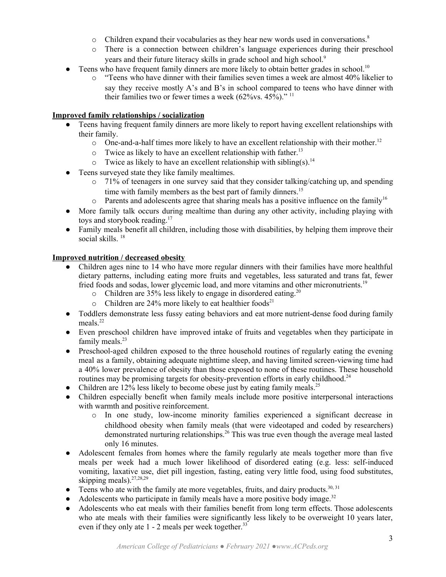- o Children expand their vocabularies as they hear new words used in conversations. 8
- o There is a connection between children's language experiences during their preschool years and their future literacy skills in grade school and high school. 9
- Teens who have frequent family dinners are more likely to obtain better grades in school.<sup>10</sup>
	- o "Teens who have dinner with their families seven times a week are almost 40% likelier to say they receive mostly A's and B's in school compared to teens who have dinner with their families two or fewer times a week  $(62\% \text{vs. } 45\%)$ ."<sup>11</sup>

## **Improved family relationships / socialization**

- Teens having frequent family dinners are more likely to report having excellent relationships with their family.
	- o One-and-a-half times more likely to have an excellent relationship with their mother. 12
	- o Twice as likely to have an excellent relationship with father.<sup>13</sup>
	- $\circ$  Twice as likely to have an excellent relationship with sibling(s).<sup>14</sup>
- Teens surveyed state they like family mealtimes.
	- $\circ$  71% of teenagers in one survey said that they consider talking/catching up, and spending time with family members as the best part of family dinners.<sup>15</sup>
	- $\circ$  Parents and adolescents agree that sharing meals has a positive influence on the family<sup>16</sup>
- More family talk occurs during mealtime than during any other activity, including playing with toys and storybook reading. 17
- Family meals benefit all children, including those with disabilities, by helping them improve their social skills.<sup>18</sup>

## **Improved nutrition / decreased obesity**

- Children ages nine to 14 who have more regular dinners with their families have more healthful dietary patterns, including eating more fruits and vegetables, less saturated and trans fat, fewer fried foods and sodas, lower glycemic load, and more vitamins and other micronutrients.<sup>19</sup>
	- o Children are 35% less likely to engage in disordered eating. 20
	- $\circ$  Children are 24% more likely to eat healthier foods<sup>21</sup>
- Toddlers demonstrate less fussy eating behaviors and eat more nutrient-dense food during family meals. 22
- Even preschool children have improved intake of fruits and vegetables when they participate in family meals.<sup>23</sup>
- Preschool-aged children exposed to the three household routines of regularly eating the evening meal as a family, obtaining adequate nighttime sleep, and having limited screen-viewing time had a 40% lower prevalence of obesity than those exposed to none of these routines. These household routines may be promising targets for obesity-prevention efforts in early childhood.<sup>24</sup>
- Children are  $12\%$  less likely to become obese just by eating family meals.<sup>25</sup>
- Children especially benefit when family meals include more positive interpersonal interactions with warmth and positive reinforcement.
	- o In one study, low-income minority families experienced a significant decrease in childhood obesity when family meals (that were videotaped and coded by researchers) demonstrated nurturing relationships. <sup>26</sup> This was true even though the average meal lasted only 16 minutes.
- Adolescent females from homes where the family regularly ate meals together more than five meals per week had a much lower likelihood of disordered eating (e.g. less: self-induced vomiting, laxative use, diet pill ingestion, fasting, eating very little food, using food substitutes, skipping meals).<sup>27,28,29</sup>
- Teens who ate with the family ate more vegetables, fruits, and dairy products.<sup>30, 31</sup>
- Adolescents who participate in family meals have a more positive body image.<sup>32</sup>
- Adolescents who eat meals with their families benefit from long term effects. Those adolescents who ate meals with their families were significantly less likely to be overweight 10 years later, even if they only ate  $1 - 2$  meals per week together.<sup>33</sup>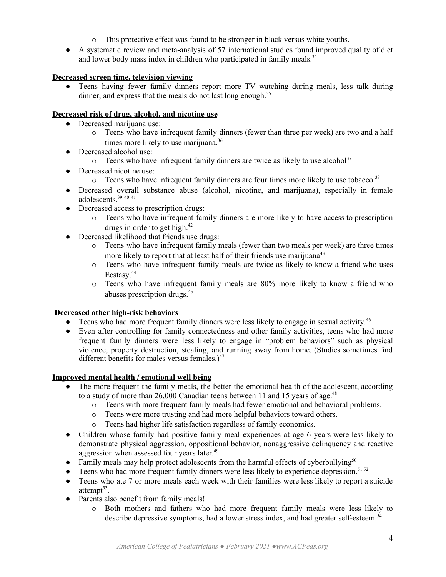- o This protective effect was found to be stronger in black versus white youths.
- A systematic review and meta-analysis of 57 international studies found improved quality of diet and lower body mass index in children who participated in family meals.<sup>34</sup>

# **Decreased screen time, television viewing**

• Teens having fewer family dinners report more TV watching during meals, less talk during dinner, and express that the meals do not last long enough.<sup>35</sup>

# **Decreased risk of drug, alcohol, and nicotine use**

- Decreased marijuana use:
	- o Teens who have infrequent family dinners (fewer than three per week) are two and a half times more likely to use marijuana.<sup>36</sup>
- Decreased alcohol use:
	- $\circ$  Teens who have infrequent family dinners are twice as likely to use alcohol<sup>37</sup>
- Decreased nicotine use:
	- o Teens who have infrequent family dinners are four times more likely to use tobacco.<sup>38</sup>
- Decreased overall substance abuse (alcohol, nicotine, and marijuana), especially in female adolescents. 39 40 41
- Decreased access to prescription drugs:
	- o Teens who have infrequent family dinners are more likely to have access to prescription drugs in order to get high. 42
- Decreased likelihood that friends use drugs:
	- o Teens who have infrequent family meals (fewer than two meals per week) are three times more likely to report that at least half of their friends use marijuana<sup>43</sup>
	- o Teens who have infrequent family meals are twice as likely to know a friend who uses Ecstasy. 44
	- o Teens who have infrequent family meals are 80% more likely to know a friend who abuses prescription drugs. 45

# **Decreased other high-risk behaviors**

- Teens who had more frequent family dinners were less likely to engage in sexual activity.<sup>46</sup>
- Even after controlling for family connectedness and other family activities, teens who had more frequent family dinners were less likely to engage in "problem behaviors" such as physical violence, property destruction, stealing, and running away from home. (Studies sometimes find different benefits for males versus females.)<sup>47</sup>

# **Improved mental health / emotional well being**

- The more frequent the family meals, the better the emotional health of the adolescent, according to a study of more than 26,000 Canadian teens between 11 and 15 years of age.<sup>48</sup>
	- o Teens with more frequent family meals had fewer emotional and behavioral problems.
	- o Teens were more trusting and had more helpful behaviors toward others.
	- o Teens had higher life satisfaction regardless of family economics.
- Children whose family had positive family meal experiences at age 6 years were less likely to demonstrate physical aggression, oppositional behavior, nonaggressive delinquency and reactive aggression when assessed four years later.<sup>49</sup>
- Family meals may help protect adolescents from the harmful effects of cyberbullying<sup>50</sup>
- $\bullet$  Teens who had more frequent family dinners were less likely to experience depression.<sup>51,52</sup>
- Teens who ate 7 or more meals each week with their families were less likely to report a suicide attempt<sup>53</sup>.
- Parents also benefit from family meals!
	- o Both mothers and fathers who had more frequent family meals were less likely to describe depressive symptoms, had a lower stress index, and had greater self-esteem. 54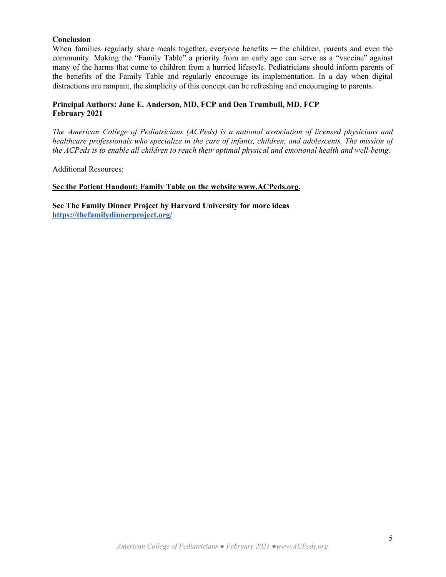#### **Conclusion**

When families regularly share meals together, everyone benefits  $-$  the children, parents and even the community. Making the "Family Table" a priority from an early age can serve as a "vaccine" against many of the harms that come to children from a hurried lifestyle. Pediatricians should inform parents of the benefits of the Family Table and regularly encourage its implementation. In a day when digital distractions are rampant, the simplicity of this concept can be refreshing and encouraging to parents.

## **Principal Authors: Jane E. Anderson, MD, FCP and Den Trumbull, MD, FCP February 2021**

*The American College of Pediatricians (ACPeds) is a national association of licensed physicians and healthcare professionals who specialize in the care of infants, children, and adolescents. The mission of the ACPeds is to enable all children to reach their optimal physical and emotional health and well-being.*

Additional Resources:

## **See the Patient Handout: Family Table on the website www.ACPeds.org.**

**See The Family Dinner Project by Harvard University for more ideas <https://thefamilydinnerproject.org/>**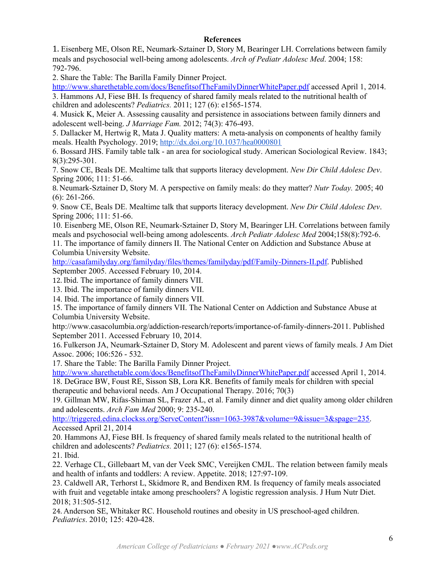#### **References**

1. Eisenberg ME, Olson RE, Neumark-Sztainer D, Story M, Bearinger LH. Correlations between family meals and psychosocial well-being among adolescents. *Arch of Pediatr Adolesc Med*. 2004; 158: 792-796.

2. Share the Table: The Barilla Family Dinner Project.

<http://www.sharethetable.com/docs/BenefitsofTheFamilyDinnerWhitePaper.pdf> accessed April 1, 2014. 3. Hammons AJ, Fiese BH. Is frequency of shared family meals related to the nutritional health of children and adolescents? *Pediatrics.* 2011; 127 (6): e1565-1574.

4. Musick K, Meier A. Assessing causality and persistence in associations between family dinners and adolescent well-being. *J Marriage Fam.* 2012; 74(3): 476-493.

5. Dallacker M, Hertwig R, Mata J. Quality matters: A meta-analysis on components of healthy family meals. Health Psychology. 2019; <http://dx.doi.org/10.1037/hea0000801>

6. Bossard JHS. Family table talk - an area for sociological study. American Sociological Review. 1843; 8(3):295-301.

7. Snow CE, Beals DE. Mealtime talk that supports literacy development. *New Dir Child Adolesc Dev*. Spring 2006; 111: 51-66.

8. Neumark-Sztainer D, Story M. A perspective on family meals: do they matter? *Nutr Today.* 2005; 40 (6): 261-266.

9. Snow CE, Beals DE. Mealtime talk that supports literacy development. *New Dir Child Adolesc Dev*. Spring 2006; 111: 51-66.

10. Eisenberg ME, Olson RE, Neumark-Sztainer D, Story M, Bearinger LH. Correlations between family meals and psychosocial well-being among adolescents. *Arch Pediatr Adolesc Med* 2004;158(8):792-6.

11. The importance of family dinners II. The National Center on Addiction and Substance Abuse at Columbia University Website.

<http://casafamilyday.org/familyday/files/themes/familyday/pdf/Family-Dinners-II.pdf>. Published

September 2005. Accessed February 10, 2014.

12. Ibid. The importance of family dinners VII.

13. Ibid. The importance of family dinners VII.

14. Ibid. The importance of family dinners VII.

15. The importance of family dinners VII. The National Center on Addiction and Substance Abuse at Columbia University Website.

http://www.casacolumbia.org/addiction-research/reports/importance-of-family-dinners-2011. Published September 2011. Accessed February 10, 2014.

16. Fulkerson JA, Neumark-Sztainer D, Story M. Adolescent and parent views of family meals. J Am Diet Assoc. 2006; 106:526 - 532.

17. Share the Table: The Barilla Family Dinner Project.

<http://www.sharethetable.com/docs/BenefitsofTheFamilyDinnerWhitePaper.pdf> accessed April 1, 2014. 18. DeGrace BW, Foust RE, Sisson SB, Lora KR. Benefits of family meals for children with special therapeutic and behavioral needs. Am J Occupational Therapy. 2016; 70(3)

19. Gillman MW, Rifas-Shiman SL, Frazer AL, et al. Family dinner and diet quality among older children and adolescents. *Arch Fam Med* 2000; 9: 235-240.

[http://triggered.edina.clockss.org/ServeContent?issn=1063-3987&volume=9&issue=3&spage=235.](http://triggered.edina.clockss.org/ServeContent?issn=1063-3987&volume=9&issue=3&spage=235) Accessed April 21, 2014

20. Hammons AJ, Fiese BH. Is frequency of shared family meals related to the nutritional health of children and adolescents? *Pediatrics.* 2011; 127 (6): e1565-1574.

21. Ibid.

22. Verhage CL, Gillebaart M, van der Veek SMC, Vereijken CMJL. The relation between family meals and health of infants and toddlers: A review. Appetite. 2018; 127:97-109.

23. Caldwell AR, Terhorst L, Skidmore R, and Bendixen RM. Is frequency of family meals associated with fruit and vegetable intake among preschoolers? A logistic regression analysis. J Hum Nutr Diet. 2018; 31:505-512.

24. Anderson SE, Whitaker RC. Household routines and obesity in US preschool-aged children. *Pediatrics*. 2010; 125: 420-428.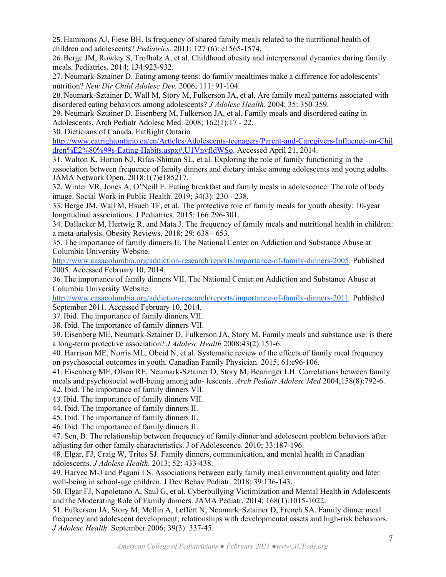25. Hammons AJ, Fiese BH. Is frequency of shared family meals related to the nutritional health of children and adolescents? *Pediatrics.* 2011; 127 (6): e1565-1574.

26. Berge JM, Rowley S, Trofholz A, et al. Childhood obesity and interpersonal dynamics during family meals. Pediatrics. 2014; 134:923-932.

27. Neumark-Sztainer D. Eating among teens: do family mealtimes make a difference for adolescents' nutrition? *New Dir Child Adolesc Dev.* 2006; 111: 91-104.

28. Neumark-Sztainer D, Wall M, Story M, Fulkerson JA, et al. Are family meal patterns associated with disordered eating behaviors among adolescents? *J Adolesc Health.* 2004; 35: 350-359.

29. Neumark-Sztainer D, Eisenberg M, Fulkerson JA, et al. Family meals and disordered eating in Adolescents. Arch Pediatr Adolesc Med. 2008; 162(1):17 - 22.

30. Dieticians of Canada. EatRight Ontario

[http://www.eatrightontario.ca/en/Articles/Adolescents-teenagers/Parent-and-Caregivers-Influence-on-Chil](http://www.eatrightontario.ca/en/Articles/Adolescents-teenagers/Parent-and-Caregivers-Influence-on-Children%E2%80%99s-Eating-Habits.aspx#.U1VnvfldWSo) [dren%E2%80%99s-Eating-Habits.aspx#.U1VnvfldWSo.](http://www.eatrightontario.ca/en/Articles/Adolescents-teenagers/Parent-and-Caregivers-Influence-on-Children%E2%80%99s-Eating-Habits.aspx#.U1VnvfldWSo) Accessed April 21, 2014.

31. Walton K, Horton NJ, Rifas-Shiman SL, et al. Exploring the role of family functioning in the association between frequence of family dinners and dietary intake among adolescents and young adults. JAMA Network Open. 2018:1(7)e185217.

32. Winter VR, Jones A, O'Neill E. Eating breakfast and family meals in adolescence: The role of body image. Social Work in Public Health. 2019; 34(3): 230 - 238.

33. Berge JM, Wall M, Hsueh TF, et al. The protective role of family meals for youth obesity: 10-year longitudinal associations. J Pediatrics. 2015; 166:296-301.

34. Dallacker M, Hertwig R, and Mata J. The frequency of family meals and nutritional health in children: a meta-analysis. Obesity Reviews. 2018; 29: 638 - 653.

35. The importance of family dinners II. The National Center on Addiction and Substance Abuse at Columbia University Website.

<http://www.casacolumbia.org/addiction-research/reports/importance-of-family-dinners-2005>. Published 2005. Accessed February 10, 2014.

36. The importance of family dinners VII. The National Center on Addiction and Substance Abuse at Columbia University Website.

<http://www.casacolumbia.org/addiction-research/reports/importance-of-family-dinners-2011>. Published September 2011. Accessed February 10, 2014.

37. Ibid. The importance of family dinners VII.

38. Ibid. The importance of family dinners VII.

39. Eisenberg ME, Neumark-Sztainer D, Fulkerson JA, Story M. Family meals and substance use: is there a long-term protective association? *J Adolesc Health* 2008;43(2):151-6.

40. Harrison ME, Norris ML, Obeid N, et al. Systematic review of the effects of family meal frequency on psychosocial outcomes in youth. Canadian Family Physician. 2015; 61:e96-106.

41. Eisenberg ME, Olson RE, Neumark-Sztainer D, Story M, Bearinger LH. Correlations between family meals and psychosocial well-being among ado- lescents. *Arch Pediatr Adolesc Med* 2004;158(8):792-6.

42. Ibid. The importance of family dinners VII.

43. Ibid. The importance of family dinners VII.

44. Ibid. The importance of family dinners II.

45. Ibid. The importance of family dinners II.

46. Ibid. The importance of family dinners II.

47. Sen, B. The relationship between frequency of family dinner and adolescent problem behaviors after adjusting for other family characteristics. J of Adolescence. 2010; 33:187-196.

48. Elgar, FJ, Craig W, Trites SJ. Family dinners, communication, and mental health in Canadian adolescents. *J Adolesc Health.* 2013; 52: 433-438.

49. Harvec M-J and Pagani LS. Associations between early family meal environment quality and later well-being in school-age children. J Dev Behav Pediatr. 2018; 39:136-143.

50. Elgar FJ, Napoletano A, Saul G, et al. Cyberbullying Victimization and Mental Health in Adolescents and the Moderating Role of Family dinners. JAMA Pediatr. 2014; 168(1):1015-1022.

51. Fulkerson JA, Story M, Mellin A, Leffert N, Neumark-Sztainer D, French SA. Family dinner meal frequency and adolescent development; relationships with developmental assets and high-risk behaviors. *J Adolesc Health*. September 2006; 39(3): 337-45.